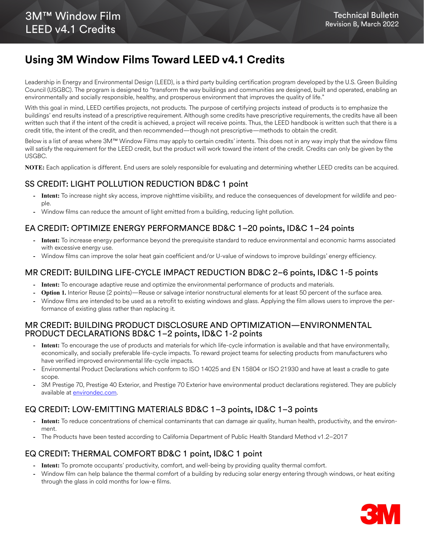# **Using 3M Window Films Toward LEED v4.1 Credits**

Leadership in Energy and Environmental Design (LEED), is a third party building certification program developed by the U.S. Green Building Council (USGBC). The program is designed to "transform the way buildings and communities are designed, built and operated, enabling an environmentally and socially responsible, healthy, and prosperous environment that improves the quality of life."

With this goal in mind, LEED certifies projects, not products. The purpose of certifying projects instead of products is to emphasize the buildings' end results instead of a prescriptive requirement. Although some credits have prescriptive requirements, the credits have all been written such that if the intent of the credit is achieved, a project will receive points. Thus, the LEED handbook is written such that there is a credit title, the intent of the credit, and then recommended—though not prescriptive—methods to obtain the credit.

Below is a list of areas where 3M™ Window Films may apply to certain credits' intents. This does not in any way imply that the window films will satisfy the requirement for the LEED credit, but the product will work toward the intent of the credit. Credits can only be given by the USGBC.

**NOTE:** Each application is different. End users are solely responsible for evaluating and determining whether LEED credits can be acquired.

#### SS CREDIT: LIGHT POLLUTION REDUCTION BD&C 1 point

- **Intent:** To increase night sky access, improve nighttime visibility, and reduce the consequences of development for wildlife and people.
- **-** Window films can reduce the amount of light emitted from a building, reducing light pollution.

### EA CREDIT: OPTIMIZE ENERGY PERFORMANCE BD&C 1–20 points, ID&C 1–24 points

- **Intent:** To increase energy performance beyond the prerequisite standard to reduce environmental and economic harms associated with excessive energy use.
- **-** Window films can improve the solar heat gain coefficient and/or U-value of windows to improve buildings' energy efficiency.

#### MR CREDIT: BUILDING LIFE-CYCLE IMPACT REDUCTION BD&C 2–6 points, ID&C 1-5 points

- **Intent:** To encourage adaptive reuse and optimize the environmental performance of products and materials.
- **Option 1.** Interior Reuse (2 points)—Reuse or salvage interior nonstructural elements for at least 50 percent of the surface area.
- **-** Window films are intended to be used as a retrofit to existing windows and glass. Applying the film allows users to improve the performance of existing glass rather than replacing it.

#### MR CREDIT: BUILDING PRODUCT DISCLOSURE AND OPTIMIZATION—ENVIRONMENTAL PRODUCT DECLARATIONS BD&C 1–2 points, ID&C 1-2 points

- **Intent:** To encourage the use of products and materials for which life-cycle information is available and that have environmentally, economically, and socially preferable life-cycle impacts. To reward project teams for selecting products from manufacturers who have verified improved environmental life-cycle impacts.
- **-** Environmental Product Declarations which conform to ISO 14025 and EN 15804 or ISO 21930 and have at least a cradle to gate scope.
- **-** 3M Prestige 70, Prestige 40 Exterior, and Prestige 70 Exterior have environmental product declarations registered. They are publicly available at **environdec.com**.

#### EQ CREDIT: LOW-EMITTING MATERIALS BD&C 1–3 points, ID&C 1–3 points

- **Intent:** To reduce concentrations of chemical contaminants that can damage air quality, human health, productivity, and the environment.
- **-** The Products have been tested according to California Department of Public Health Standard Method v1.2–2017

#### EQ CREDIT: THERMAL COMFORT BD&C 1 point, ID&C 1 point

- **Intent:** To promote occupants' productivity, comfort, and well-being by providing quality thermal comfort.
- **-** Window film can help balance the thermal comfort of a building by reducing solar energy entering through windows, or heat exiting through the glass in cold months for low-e films.